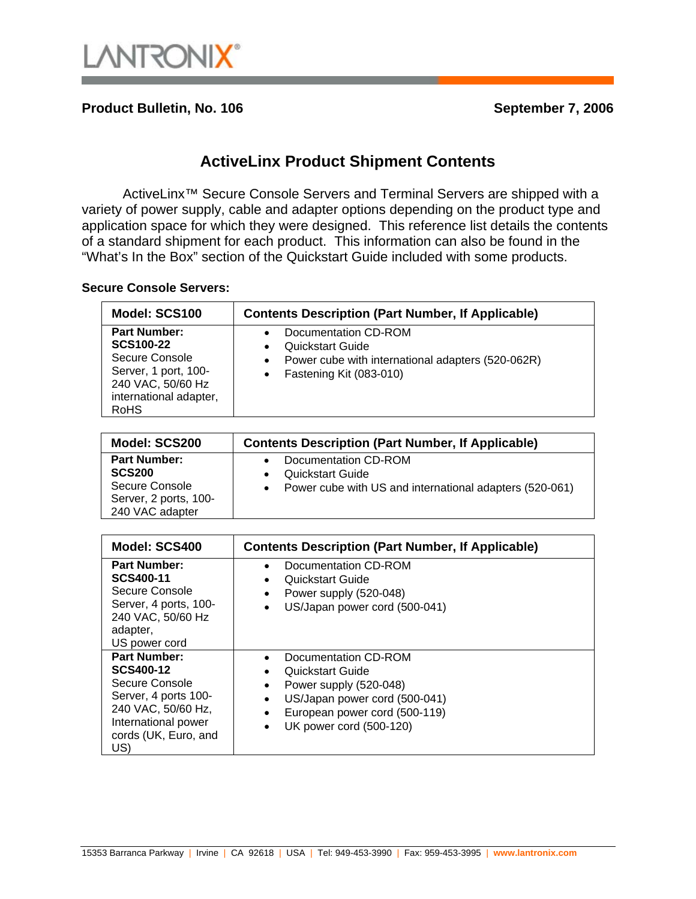

**Product Bulletin, No. 106** September 7, 2006

## **ActiveLinx Product Shipment Contents**

ActiveLinx<sup>™</sup> Secure Console Servers and Terminal Servers are shipped with a variety of power supply, cable and adapter options depending on the product type and application space for which they were designed. This reference list details the contents of a standard shipment for each product. This information can also be found in the "What's In the Box" section of the Quickstart Guide included with some products.

## **Secure Console Servers:**

| Model: SCS100                                                                                                                            | <b>Contents Description (Part Number, If Applicable)</b>                                                                                                                            |
|------------------------------------------------------------------------------------------------------------------------------------------|-------------------------------------------------------------------------------------------------------------------------------------------------------------------------------------|
| <b>Part Number:</b><br><b>SCS100-22</b><br>Secure Console<br>Server, 1 port, 100-<br>240 VAC, 50/60 Hz<br>international adapter,<br>RoHS | Documentation CD-ROM<br>$\bullet$<br><b>Quickstart Guide</b><br>$\bullet$<br>Power cube with international adapters (520-062R)<br>$\bullet$<br>Fastening Kit (083-010)<br>$\bullet$ |

| Model: SCS200                                                                                      | <b>Contents Description (Part Number, If Applicable)</b>                                                                |
|----------------------------------------------------------------------------------------------------|-------------------------------------------------------------------------------------------------------------------------|
| <b>Part Number:</b><br><b>SCS200</b><br>Secure Console<br>Server, 2 ports, 100-<br>240 VAC adapter | Documentation CD-ROM<br><b>Quickstart Guide</b><br>Power cube with US and international adapters (520-061)<br>$\bullet$ |

| Model: SCS400                                                                                                                                                 | <b>Contents Description (Part Number, If Applicable)</b>                                                                                                        |
|---------------------------------------------------------------------------------------------------------------------------------------------------------------|-----------------------------------------------------------------------------------------------------------------------------------------------------------------|
| <b>Part Number:</b><br>SCS400-11<br>Secure Console<br>Server, 4 ports, 100-<br>240 VAC, 50/60 Hz<br>adapter,<br>US power cord                                 | Documentation CD-ROM<br>Quickstart Guide<br>Power supply (520-048)<br>US/Japan power cord (500-041)<br>$\bullet$                                                |
| <b>Part Number:</b><br><b>SCS400-12</b><br>Secure Console<br>Server, 4 ports 100-<br>240 VAC, 50/60 Hz,<br>International power<br>cords (UK, Euro, and<br>US) | Documentation CD-ROM<br>Quickstart Guide<br>Power supply (520-048)<br>US/Japan power cord (500-041)<br>European power cord (500-119)<br>UK power cord (500-120) |